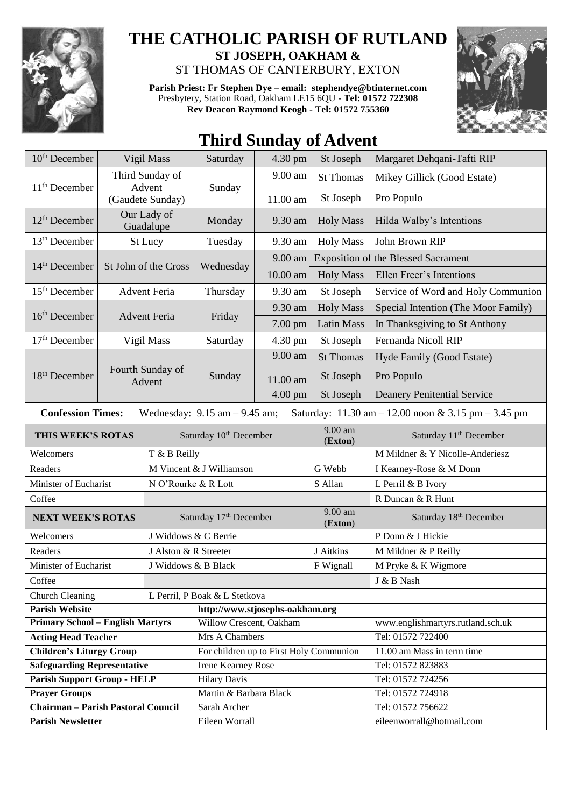

## **THE CATHOLIC PARISH OF RUTLAND ST JOSEPH, OAKHAM &**  ST THOMAS OF CANTERBURY, EXTON

**Parish Priest: Fr Stephen Dye** – **[email: stephendye@btinternet.com](mailto:email:%20%20stephendye@btinternet.com)** Presbytery, Station Road, Oakham LE15 6QU - **Tel: 01572 722308 Rev Deacon Raymond Keogh - Tel: 01572 755360**



## **Third Sunday of Advent**

| 10 <sup>th</sup> December                                                                                            | Vigil Mass                 |                                    | Saturday                                | 4.30 pm           | St Joseph         | Margaret Dehqani-Tafti RIP                 |
|----------------------------------------------------------------------------------------------------------------------|----------------------------|------------------------------------|-----------------------------------------|-------------------|-------------------|--------------------------------------------|
|                                                                                                                      | Third Sunday of            |                                    | Sunday                                  | $9.00 \text{ am}$ | <b>St Thomas</b>  | Mikey Gillick (Good Estate)                |
| $11th$ December                                                                                                      | Advent<br>(Gaudete Sunday) |                                    |                                         | 11.00 am          | St Joseph         | Pro Populo                                 |
|                                                                                                                      |                            | Our Lady of                        |                                         |                   |                   |                                            |
| 12 <sup>th</sup> December                                                                                            |                            | Guadalupe                          | Monday                                  | 9.30 am           | <b>Holy Mass</b>  | Hilda Walby's Intentions                   |
| 13 <sup>th</sup> December                                                                                            | St Lucy                    |                                    | Tuesday                                 | 9.30 am           | <b>Holy Mass</b>  | John Brown RIP                             |
| 14 <sup>th</sup> December<br>St John of the Cross                                                                    |                            |                                    | Wednesday                               | 9.00 am           |                   | <b>Exposition of the Blessed Sacrament</b> |
|                                                                                                                      |                            |                                    |                                         | 10.00 am          | <b>Holy Mass</b>  | Ellen Freer's Intentions                   |
| 15 <sup>th</sup> December                                                                                            | <b>Advent Feria</b>        |                                    | Thursday                                | 9.30 am           | St Joseph         | Service of Word and Holy Communion         |
|                                                                                                                      | <b>Advent Feria</b>        |                                    | Friday                                  | 9.30 am           | <b>Holy Mass</b>  | Special Intention (The Moor Family)        |
| 16 <sup>th</sup> December                                                                                            |                            |                                    |                                         | 7.00 pm           | <b>Latin Mass</b> | In Thanksgiving to St Anthony              |
| $17th$ December                                                                                                      | Vigil Mass                 |                                    | Saturday                                | 4.30 pm           | St Joseph         | Fernanda Nicoll RIP                        |
| 18 <sup>th</sup> December                                                                                            |                            | Fourth Sunday of<br>Advent         | Sunday                                  | 9.00 am           | <b>St Thomas</b>  | Hyde Family (Good Estate)                  |
|                                                                                                                      |                            |                                    |                                         | 11.00 am          | St Joseph         | Pro Populo                                 |
|                                                                                                                      |                            |                                    |                                         | $4.00$ pm         | St Joseph         | <b>Deanery Penitential Service</b>         |
| <b>Confession Times:</b><br>Saturday: 11.30 am - 12.00 noon & 3.15 pm - 3.45 pm<br>Wednesday: $9.15$ am $- 9.45$ am; |                            |                                    |                                         |                   |                   |                                            |
| THIS WEEK'S ROTAS                                                                                                    |                            |                                    |                                         |                   | $9.00$ am         | Saturday 11 <sup>th</sup> December         |
|                                                                                                                      |                            | Saturday 10 <sup>th</sup> December |                                         |                   | (Exton)           |                                            |
| Welcomers                                                                                                            |                            | T & B Reilly                       |                                         |                   |                   | M Mildner & Y Nicolle-Anderiesz            |
| Readers                                                                                                              |                            | M Vincent & J Williamson           |                                         |                   | G Webb            | I Kearney-Rose & M Donn                    |
| Minister of Eucharist<br>Coffee                                                                                      |                            | N O'Rourke & R Lott<br>S Allan     |                                         |                   |                   | L Perril & B Ivory<br>R Duncan & R Hunt    |
|                                                                                                                      |                            |                                    | 9.00 am                                 |                   |                   |                                            |
| <b>NEXT WEEK'S ROTAS</b>                                                                                             |                            | Saturday 17th December             |                                         |                   | (Exton)           | Saturday 18th December                     |
| Welcomers                                                                                                            |                            | J Widdows & C Berrie               |                                         |                   |                   | P Donn & J Hickie                          |
| Readers                                                                                                              |                            | J Alston & R Streeter              |                                         |                   | J Aitkins         | M Mildner & P Reilly                       |
| Minister of Eucharist                                                                                                |                            | J Widdows & B Black                |                                         |                   | F Wignall         | M Pryke & K Wigmore                        |
| Coffee                                                                                                               |                            |                                    |                                         |                   |                   | J & B Nash                                 |
| Church Cleaning<br>L Perril, P Boak & L Stetkova                                                                     |                            |                                    |                                         |                   |                   |                                            |
| <b>Parish Website</b>                                                                                                |                            |                                    | http://www.stjosephs-oakham.org         |                   |                   |                                            |
| <b>Primary School - English Martyrs</b>                                                                              |                            |                                    | Willow Crescent, Oakham                 |                   |                   | www.englishmartyrs.rutland.sch.uk          |
| <b>Acting Head Teacher</b>                                                                                           |                            |                                    | Mrs A Chambers                          |                   |                   | Tel: 01572 722400                          |
| <b>Children's Liturgy Group</b>                                                                                      |                            |                                    | For children up to First Holy Communion |                   |                   | 11.00 am Mass in term time                 |
| <b>Safeguarding Representative</b>                                                                                   |                            |                                    | Irene Kearney Rose                      |                   |                   | Tel: 01572 823883                          |
| <b>Parish Support Group - HELP</b>                                                                                   |                            |                                    | <b>Hilary Davis</b>                     |                   |                   | Tel: 01572 724256                          |
| <b>Prayer Groups</b>                                                                                                 |                            |                                    | Martin & Barbara Black                  |                   |                   | Tel: 01572 724918                          |
| <b>Chairman - Parish Pastoral Council</b>                                                                            |                            |                                    | Sarah Archer                            |                   |                   | Tel: 01572 756622                          |
| <b>Parish Newsletter</b>                                                                                             |                            |                                    | Eileen Worrall                          |                   |                   | eileenworrall@hotmail.com                  |